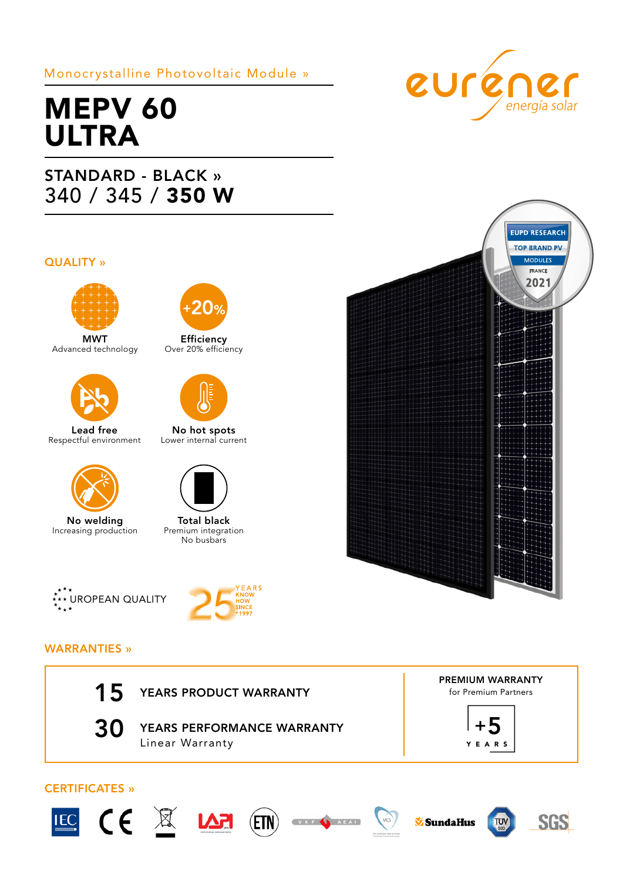## Monocrystalline Photovoltaic Module »

# MEPV 60 ULTRA

## STANDARD - BLACK » 340 / 345 / 350 W

#### QUALITY »



MWT Advanced technology



Lead free Respectful environment



No welding Increasing production



Efficiency Over 20% efficiency



No hot spots Lower internal current



Total black Premium integration No busbars





### WARRANTIES »







PREMIUM WARRANTY for Premium Partners





euréner



## CERTIFICATES »